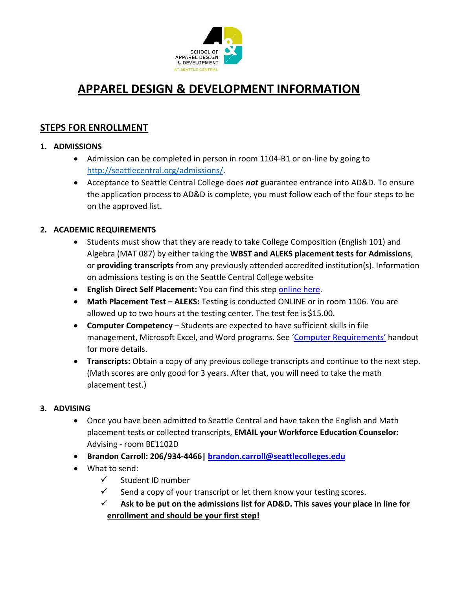

# **APPAREL DESIGN & DEVELOPMENT INFORMATION**

## **STEPS FOR ENROLLMENT**

#### **1. ADMISSIONS**

- Admission can be completed in person in room 1104-B1 or on-line by going to [http://seattlecentral.org/admissions/.](http://seattlecentral.org/admissions/)
- Acceptance to Seattle Central College does *not* guarantee entrance into AD&D. To ensure the application process to AD&D is complete, you must follow each of the four steps to be on the approved list.

### **2. ACADEMIC REQUIREMENTS**

- Students must show that they are ready to take College Composition (English 101) and Algebra (MAT 087) by either taking the **WBST and ALEKS placement tests for Admissions**, or **providing transcripts** from any previously attended accredited institution(s). Information on admissions testing is on the Seattle Central College website
- **English Direct Self Placement:** You can find this step [online here.](https://seattlecentral.edu/enrollment-and-funding/enrollment-and-admissions/placement-for-classes/english-placement#directed-self-placement)
- **Math Placement Test – ALEKS:** Testing is conducted ONLINE or in room 1106. You are allowed up to two hours at the testing center. The test fee is \$15.00.
- **Computer Competency** Students are expected to have sufficient skills in file management, Microsoft Excel, and Word programs. See ['Computer Requirements'](http://schoolofappareldesignanddevelopment.com/wp-content/uploads/2021/11/Computer-Requirements-Fall-2021.pdf) handout for more details.
- **Transcripts:** Obtain a copy of any previous college transcripts and continue to the next step. (Math scores are only good for 3 years. After that, you will need to take the math placement test.)

#### **3. ADVISING**

- Once you have been admitted to Seattle Central and have taken the English and Math placement tests or collected transcripts, **EMAIL your Workforce Education Counselor:**  Advising - room BE1102D
- **Brandon Carroll: 206/934-4466| brandon.carroll@seattlecolleges.edu**
- What to send:
	- $\checkmark$  Student ID number
	- $\checkmark$  Send a copy of your transcript or let them know your testing scores.
	- $\checkmark$  Ask to be put on the admissions list for AD&D. This saves your place in line for **enrollment and should be your first step!**